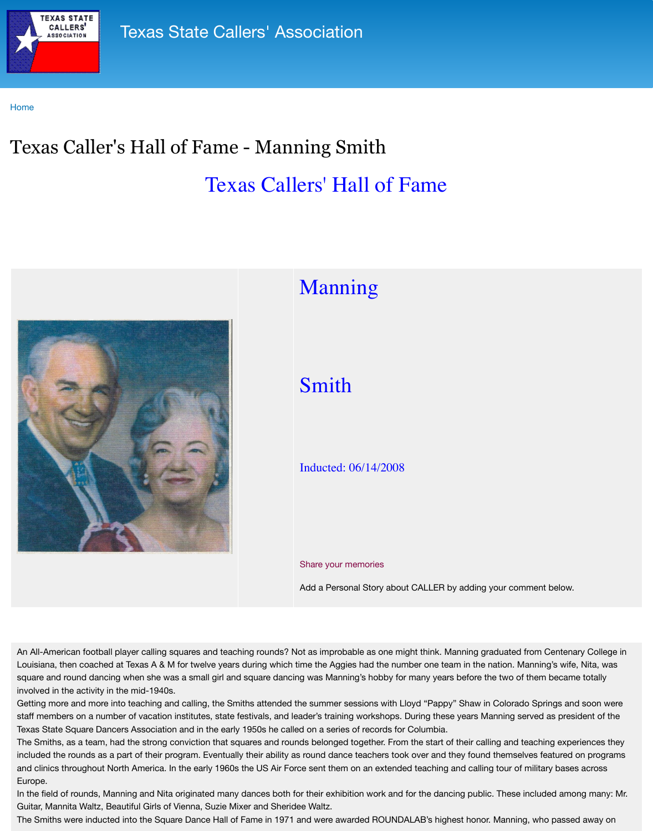

## wanning

## Smith

## Inducted: 06/14/2008

## Share your memories

Add a Personal Story about C

An All-American football player calling squares and teaching rounds? Not as improbable as one might Louisiana, then coached at Texas A & M for twelve years during which time the Aggies had the number square and round dancing when she was a small girl and square dancing was Manning's hobby for m involved in the activity in the mid-1940s.

Getting more and more into teaching and calling, the Smiths attended the summer sessions with Lloy staff members on a number of vacation institutes, state festivals, and leader's training workshops. Du Texas State Square Dancers Association and in the early 1950s he called on a series of records for Co The Smiths, as a team, had the strong conviction that squares and rounds belonged together. From the included the rounds as a part of their program. Eventually their ability as round dance teachers took on and clinics throughout North America. In the early 1960s the US Air Force sent them on an extended to Europe.

In the field of rounds, Manning and Nita originated many dances both for their exhibition work and for Guitar, Mannita Waltz, Beautiful Girls of Vienna, Suzie Mixer and Sheridee Waltz.

The Smiths were inducted into the Square Dance Hall of Fame in 1971 and were awarded ROUNDAL